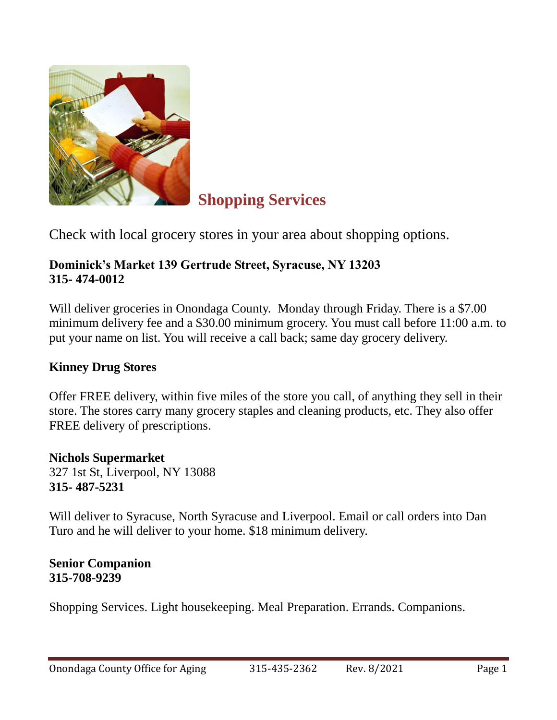

# **Shopping Services**

Check with local grocery stores in your area about shopping options.

### **Dominick's Market 139 Gertrude Street, Syracuse, NY 13203 315- 474-0012**

Will deliver groceries in Onondaga County. Monday through Friday. There is a \$7.00 minimum delivery fee and a \$30.00 minimum grocery. You must call before 11:00 a.m. to put your name on list. You will receive a call back; same day grocery delivery.

#### **Kinney Drug Stores**

Offer FREE delivery, within five miles of the store you call, of anything they sell in their store. The stores carry many grocery staples and cleaning products, etc. They also offer FREE delivery of prescriptions.

**Nichols Supermarket** 327 1st St, Liverpool, NY 13088 **315- 487-5231**

Will deliver to Syracuse, North Syracuse and Liverpool. Email or call orders into Dan Turo and he will deliver to your home. \$18 minimum delivery.

**Senior Companion 315-708-9239**

Shopping Services. Light housekeeping. Meal Preparation. Errands. Companions.